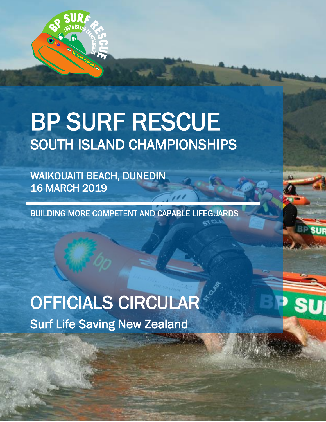

# BP SURF RESCUE SOUTH ISLAND CHAMPIONSHIPS

WAIKOUAITI BEACH, DUNEDIN 16 MARCH 2019

BUILDING MORE COMPETENT AND CAPABLE LIFEGUARDS

Surf Life Saving New Zealand OFFICIALS CIRCULAR

1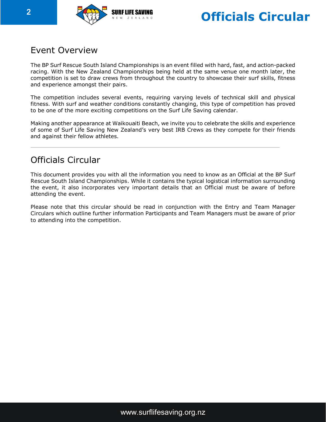

## **2 Constitute SAVING Circular**

## Event Overview

The BP Surf Rescue South Island Championships is an event filled with hard, fast, and action-packed racing. With the New Zealand Championships being held at the same venue one month later, the competition is set to draw crews from throughout the country to showcase their surf skills, fitness and experience amongst their pairs.

The competition includes several events, requiring varying levels of technical skill and physical fitness. With surf and weather conditions constantly changing, this type of competition has proved to be one of the more exciting competitions on the Surf Life Saving calendar.

Making another appearance at Waikouaiti Beach, we invite you to celebrate the skills and experience of some of Surf Life Saving New Zealand's very best IRB Crews as they compete for their friends and against their fellow athletes.

## Officials Circular

This document provides you with all the information you need to know as an Official at the BP Surf Rescue South Island Championships. While it contains the typical logistical information surrounding the event, it also incorporates very important details that an Official must be aware of before attending the event.

Please note that this circular should be read in conjunction with the Entry and Team Manager Circulars which outline further information Participants and Team Managers must be aware of prior to attending into the competition.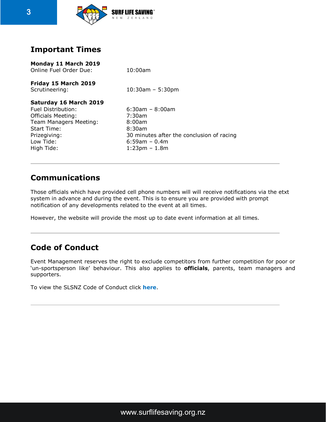

## **Important Times**

| Monday 11 March 2019<br>Online Fuel Order Due:                                                                                                                              | 10:00am                                                                                                                                |
|-----------------------------------------------------------------------------------------------------------------------------------------------------------------------------|----------------------------------------------------------------------------------------------------------------------------------------|
| Friday 15 March 2019<br>Scrutineering:                                                                                                                                      | $10:30$ am - 5:30pm                                                                                                                    |
| Saturday 16 March 2019<br>Fuel Distribution:<br><b>Officials Meeting:</b><br><b>Team Managers Meeting:</b><br><b>Start Time:</b><br>Prizegiving:<br>Low Tide:<br>High Tide: | $6:30$ am - 8:00am<br>7:30am<br>8:00am<br>8:30am<br>30 minutes after the conclusion of racing<br>$6:59am - 0.4m$<br>$1:23$ pm $-1.8$ m |
|                                                                                                                                                                             |                                                                                                                                        |

## **Communications**

Those officials which have provided cell phone numbers will will receive notifications via the etxt system in advance and during the event. This is to ensure you are provided with prompt notification of any developments related to the event at all times.

However, the website will provide the most up to date event information at all times.

## **Code of Conduct**

Event Management reserves the right to exclude competitors from further competition for poor or 'un-sportsperson like' behaviour. This also applies to **officials**, parents, team managers and supporters.

To view the SLSNZ Code of Conduct click **[here](https://www.surflifesaving.org.nz/organisation/about-us/management-documents)**.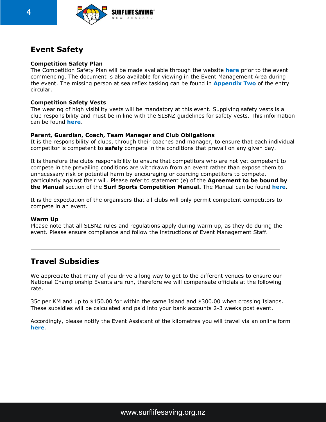

## **Event Safety**

#### **Competition Safety Plan**

The Competition Safety Plan will be made available through the website **[here](https://www.surflifesaving.org.nz/calendar/2019/march/bp-surf-rescue-south-island-championships)** prior to the event commencing. The document is also available for viewing in the Event Management Area during the event. The missing person at sea reflex tasking can be found in **Appendix Two** of the entry circular.

#### **Competition Safety Vests**

The wearing of high visibility vests will be mandatory at this event. Supplying safety vests is a club responsibility and must be in line with the SLSNZ guidelines for safety vests. This information can be found **[here](http://www.surflifesaving.org.nz/clubhouse/slsnzhighvisibilityvests)**.

#### **Parent, Guardian, Coach, Team Manager and Club Obligations**

It is the responsibility of clubs, through their coaches and manager, to ensure that each individual competitor is competent to **safely** compete in the conditions that prevail on any given day.

It is therefore the clubs responsibility to ensure that competitors who are not yet competent to compete in the prevailing conditions are withdrawn from an event rather than expose them to unnecessary risk or potential harm by encouraging or coercing competitors to compete, particularly against their will. Please refer to statement (e) of the **Agreement to be bound by the Manual** section of the **Surf Sports Competition Manual.** The Manual can be found **[here](http://www.surflifesaving.org.nz/sport/about-us/surf-sport-manual/)**.

It is the expectation of the organisers that all clubs will only permit competent competitors to compete in an event.

#### **Warm Up**

Please note that all SLSNZ rules and regulations apply during warm up, as they do during the event. Please ensure compliance and follow the instructions of Event Management Staff.

## **Travel Subsidies**

We appreciate that many of you drive a long way to get to the different venues to ensure our National Championship Events are run, therefore we will compensate officials at the following rate.

35c per KM and up to \$150.00 for within the same Island and \$300.00 when crossing Islands. These subsidies will be calculated and paid into your bank accounts 2-3 weeks post event.

Accordingly, please notify the Event Assistant of the kilometres you will travel via an online form **[here](https://www.surveymonkey.com/r/CFZCY6B)**.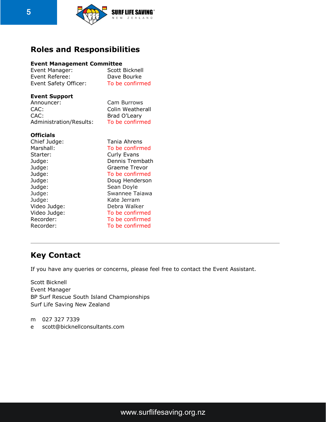

## **Roles and Responsibilities**

#### **Event Management Committee**

| Event Manager:        | Scott Bicknell  |
|-----------------------|-----------------|
| Event Referee:        | Dave Bourke     |
| Event Safety Officer: | To be confirmed |

#### **Event Support**

| Announcer:              | Cam Burrows      |
|-------------------------|------------------|
| CAC:                    | Colin Weatherall |
| CAC:                    | Brad O'Leary     |
| Administration/Results: | To be confirmed  |

#### **Officials**

| Chief Judge: | Tania Ahrens    |
|--------------|-----------------|
| Marshall:    | To be confirmed |
| Starter:     | Curly Evans     |
| Judge:       | Dennis Trembath |
| Judge:       | Graeme Trevor   |
| Judge:       | To be confirmed |
| Judge:       | Doug Henderson  |
| Judge:       | Sean Doyle      |
| Judge:       | Swannee Taiawa  |
| Judge:       | Kate Jerram     |
| Video Judge: | Debra Walker    |
| Video Judge: | To be confirmed |
| Recorder:    | To be confirmed |
| Recorder:    | To be confirmed |
|              |                 |

## **Key Contact**

If you have any queries or concerns, please feel free to contact the Event Assistant.

Scott Bicknell Event Manager BP Surf Rescue South Island Championships Surf Life Saving New Zealand

m 027 327 7339

e scott@bicknellconsultants.com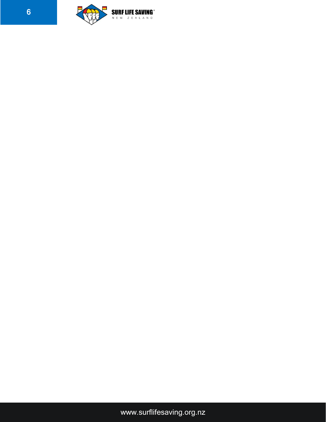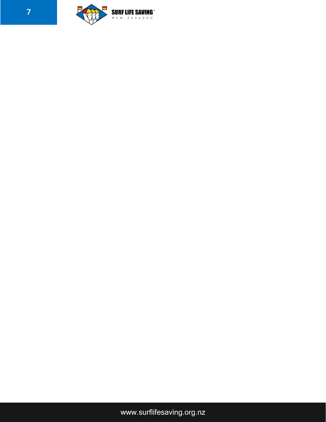